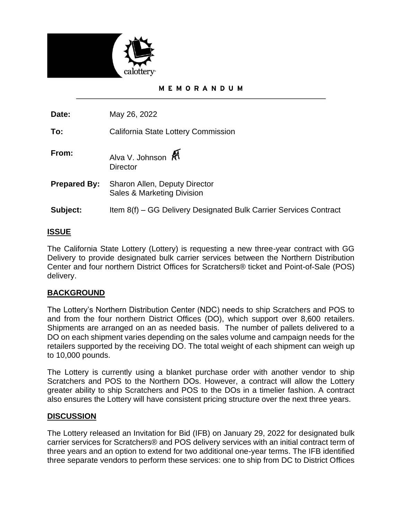

### MEMORANDUM

**Date:** May 26, 2022

**To:** California State Lottery Commission

- **From:** Alva V. Johnson **A Director**
- **Prepared By:** Sharon Allen, Deputy Director Sales & Marketing Division
- **Subject:** Item 8(f) GG Delivery Designated Bulk Carrier Services Contract

# **ISSUE**

The California State Lottery (Lottery) is requesting a new three-year contract with GG Delivery to provide designated bulk carrier services between the Northern Distribution Center and four northern District Offices for Scratchers® ticket and Point-of-Sale (POS) delivery.

# **BACKGROUND**

The Lottery's Northern Distribution Center (NDC) needs to ship Scratchers and POS to and from the four northern District Offices (DO), which support over 8,600 retailers. Shipments are arranged on an as needed basis. The number of pallets delivered to a DO on each shipment varies depending on the sales volume and campaign needs for the retailers supported by the receiving DO. The total weight of each shipment can weigh up to 10,000 pounds.

The Lottery is currently using a blanket purchase order with another vendor to ship Scratchers and POS to the Northern DOs. However, a contract will allow the Lottery greater ability to ship Scratchers and POS to the DOs in a timelier fashion. A contract also ensures the Lottery will have consistent pricing structure over the next three years.

# **DISCUSSION**

The Lottery released an Invitation for Bid (IFB) on January 29, 2022 for designated bulk carrier services for Scratchers® and POS delivery services with an initial contract term of three years and an option to extend for two additional one-year terms. The IFB identified three separate vendors to perform these services: one to ship from DC to District Offices